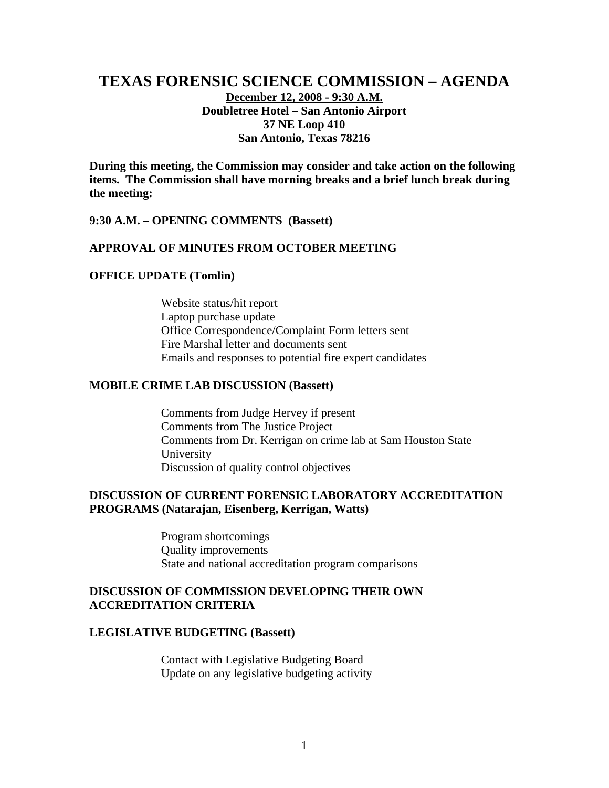# **TEXAS FORENSIC SCIENCE COMMISSION – AGENDA December 12, 2008 - 9:30 A.M. Doubletree Hotel – San Antonio Airport 37 NE Loop 410 San Antonio, Texas 78216**

**During this meeting, the Commission may consider and take action on the following items. The Commission shall have morning breaks and a brief lunch break during the meeting:** 

#### **9:30 A.M. – OPENING COMMENTS (Bassett)**

### **APPROVAL OF MINUTES FROM OCTOBER MEETING**

#### **OFFICE UPDATE (Tomlin)**

Website status/hit report Laptop purchase update Office Correspondence/Complaint Form letters sent Fire Marshal letter and documents sent Emails and responses to potential fire expert candidates

#### **MOBILE CRIME LAB DISCUSSION (Bassett)**

Comments from Judge Hervey if present Comments from The Justice Project Comments from Dr. Kerrigan on crime lab at Sam Houston State University Discussion of quality control objectives

### **DISCUSSION OF CURRENT FORENSIC LABORATORY ACCREDITATION PROGRAMS (Natarajan, Eisenberg, Kerrigan, Watts)**

 Program shortcomings Quality improvements State and national accreditation program comparisons

## **DISCUSSION OF COMMISSION DEVELOPING THEIR OWN ACCREDITATION CRITERIA**

#### **LEGISLATIVE BUDGETING (Bassett)**

Contact with Legislative Budgeting Board Update on any legislative budgeting activity